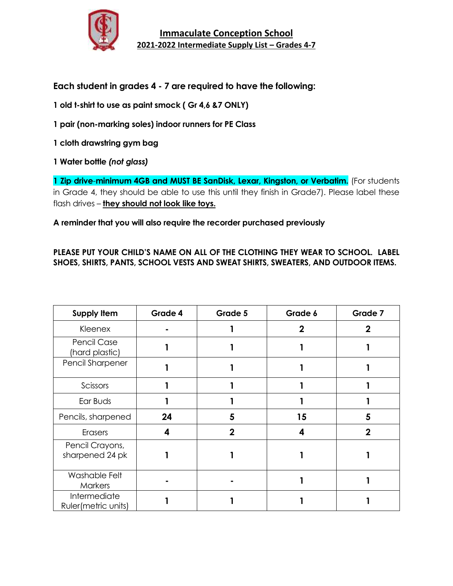

**Each student in grades 4 - 7 are required to have the following:**

**1 old t-shirt to use as paint smock ( Gr 4,6 &7 ONLY)**

**1 pair (non-marking soles) indoor runners for PE Class**

**1 cloth drawstring gym bag**

**1 Water bottle** *(not glass)*

**1 Zip drive**-**minimum 4GB and MUST BE SanDisk, Lexar, Kingston, or Verbatim.** (For students in Grade 4, they should be able to use this until they finish in Grade7). Please label these flash drives – **they should not look like toys.**

**A reminder that you will also require the recorder purchased previously**

## **PLEASE PUT YOUR CHILD'S NAME ON ALL OF THE CLOTHING THEY WEAR TO SCHOOL. LABEL SHOES, SHIRTS, PANTS, SCHOOL VESTS AND SWEAT SHIRTS, SWEATERS, AND OUTDOOR ITEMS.**

| <b>Supply Item</b>                  | Grade 4 | Grade 5        | Grade 6     | Grade 7     |
|-------------------------------------|---------|----------------|-------------|-------------|
| Kleenex                             |         |                | $\mathbf 2$ | 2           |
| Pencil Case<br>(hard plastic)       |         |                |             |             |
| Pencil Sharpener                    |         |                |             |             |
| Scissors                            |         |                |             |             |
| Ear Buds                            |         |                |             |             |
| Pencils, sharpened                  | 24      | 5              | 15          | 5           |
| <b>Erasers</b>                      | 4       | $\overline{2}$ | 4           | $\mathbf 2$ |
| Pencil Crayons,<br>sharpened 24 pk  |         |                |             |             |
| Washable Felt<br><b>Markers</b>     |         |                |             |             |
| Intermediate<br>Ruler(metric units) |         |                |             |             |